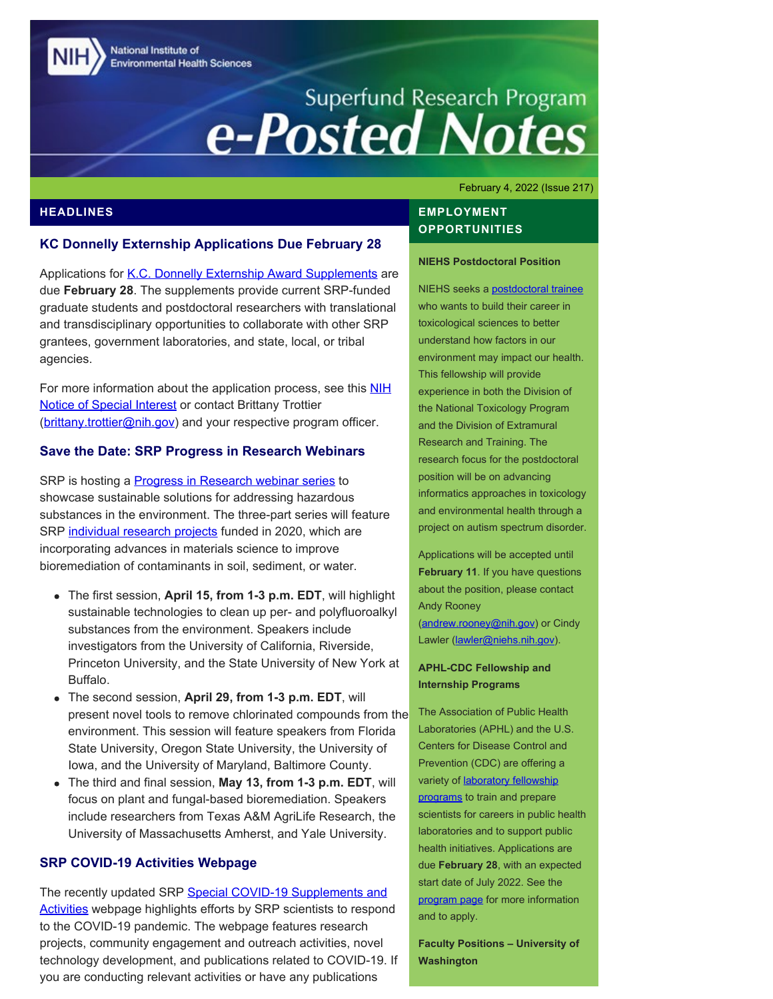National Institute of **Environmental Health Sciences** 

# Superfund Research Program<br> **e-Posted Notes**

February 4, 2022 (Issue 217)

## **HEADLINES**

#### **KC Donnelly Externship Applications Due February 28**

Applications for [K.C. Donnelly Externship Award Supplements](https://www.niehs.nih.gov/research/supported/centers/srp/training/donnelly/index.cfm) are due **February 28**. The supplements provide current SRP-funded graduate students and postdoctoral researchers with translational and transdisciplinary opportunities to collaborate with other SRP grantees, government laboratories, and state, local, or tribal agencies.

For more information about the application process, see this [NIH](https://grants.nih.gov/grants/guide/notice-files/NOT-ES-22-003.html) [Notice of Special Interest](https://grants.nih.gov/grants/guide/notice-files/NOT-ES-22-003.html) or contact Brittany Trottier ([brittany.trottier@nih.gov\)](mailto:brittany.trottier@nih.gov) and your respective program officer.

#### **Save the Date: SRP Progress in Research Webinars**

SRP is hosting a **Progress in Research webinar series** to showcase sustainable solutions for addressing hazardous substances in the environment. The three-part series will feature SRP [individual research projects](https://www.niehs.nih.gov/research/supported/centers/srp/news/2021news/R01/index.cfm) funded in 2020, which are incorporating advances in materials science to improve bioremediation of contaminants in soil, sediment, or water.

- The first session, **April 15, from 1-3 p.m. EDT**, will highlight sustainable technologies to clean up per- and polyfluoroalkyl substances from the environment. Speakers include investigators from the University of California, Riverside, Princeton University, and the State University of New York at Buffalo.
- The second session, **April 29, from 1-3 p.m. EDT**, will present novel tools to remove chlorinated compounds from the environment. This session will feature speakers from Florida State University, Oregon State University, the University of Iowa, and the University of Maryland, Baltimore County.
- The third and final session, **May 13, from 1-3 p.m. EDT**, will focus on plant and fungal-based bioremediation. Speakers include researchers from Texas A&M AgriLife Research, the University of Massachusetts Amherst, and Yale University.

## **SRP COVID-19 Activities Webpage**

The recently updated SRP [Special COVID-19 Supplements and](https://www.niehs.nih.gov/research/supported/centers/srp/programs/special/index.cfm) [Activities](https://www.niehs.nih.gov/research/supported/centers/srp/programs/special/index.cfm) webpage highlights efforts by SRP scientists to respond to the COVID-19 pandemic. The webpage features research projects, community engagement and outreach activities, novel technology development, and publications related to COVID-19. If you are conducting relevant activities or have any publications

## **EMPLOYMENT OPPORTUNITIES**

#### **NIEHS Postdoctoral Position**

NIEHS seeks a [postdoctoral trainee](https://www.training.nih.gov/postdoc_jobs_nih/view/_31/9221/Informatics_in_toxicology_and_Environmental_Health) who wants to build their career in toxicological sciences to better understand how factors in our environment may impact our health. This fellowship will provide experience in both the Division of the National Toxicology Program and the Division of Extramural Research and Training. The research focus for the postdoctoral position will be on advancing informatics approaches in toxicology and environmental health through a project on autism spectrum disorder.

Applications will be accepted until **February 11**. If you have questions about the position, please contact Andy Rooney [\(andrew.rooney@nih.gov](mailto:andrew.rooney@nih.gov)) or Cindy Lawler ([lawler@niehs.nih.gov](mailto:lawler@niehs.nih.gov)).

#### **APHL-CDC Fellowship and Internship Programs**

The Association of Public Health Laboratories (APHL) and the U.S. Centers for Disease Control and Prevention (CDC) are offering a variety of **laboratory fellowship** [programs](https://www.aphl.org/fellowships/Documents/APHL-Fellowships-Overview-Flyer.pdf) to train and prepare scientists for careers in public health laboratories and to support public health initiatives. Applications are due **February 28**, with an expected start date of July 2022. See the [program page](http://www.aphl.org/Fellowships) for more information and to apply.

**Faculty Positions – University of Washington**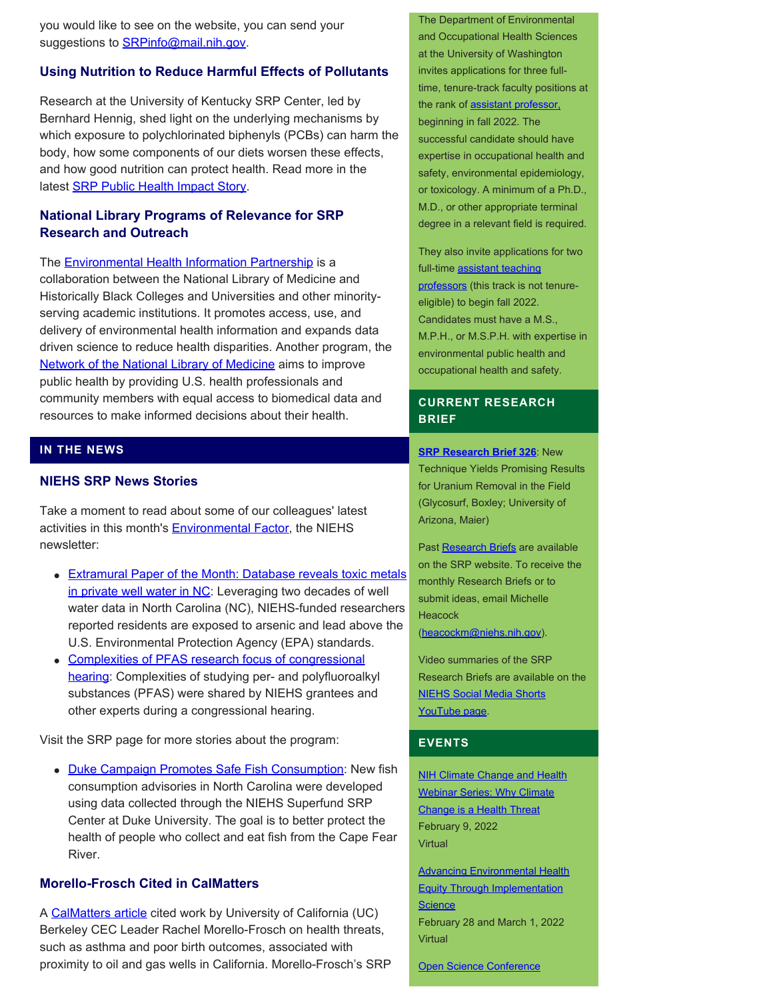you would like to see on the website, you can send your suggestions to **SRPinfo@mail.nih.gov.** 

#### **Using Nutrition to Reduce Harmful Effects of Pollutants**

Research at the University of Kentucky SRP Center, led by Bernhard Hennig, shed light on the underlying mechanisms by which exposure to polychlorinated biphenyls (PCBs) can harm the body, how some components of our diets worsen these effects, and how good nutrition can protect health. Read more in the latest **SRP Public Health Impact Story.** 

## **National Library Programs of Relevance for SRP Research and Outreach**

The **Environmental Health Information Partnership** is a collaboration between the National Library of Medicine and Historically Black Colleges and Universities and other minorityserving academic institutions. It promotes access, use, and delivery of environmental health information and expands data driven science to reduce health disparities. Another program, the [Network of the National Library of Medicine](https://nnlm.gov/) aims to improve public health by providing U.S. health professionals and community members with equal access to biomedical data and resources to make informed decisions about their health.

## **IN THE NEWS**

## **NIEHS SRP News Stories**

Take a moment to read about some of our colleagues' latest activities in this month's **Environmental Factor**, the NIEHS newsletter:

- **[Extramural Paper of the Month: Database reveals toxic metals](https://factor.niehs.nih.gov/2022/2/papers/dert/index.htm#a3)** [in private well water in NC:](https://factor.niehs.nih.gov/2022/2/papers/dert/index.htm#a3) Leveraging two decades of well water data in North Carolina (NC), NIEHS-funded researchers reported residents are exposed to arsenic and lead above the U.S. Environmental Protection Agency (EPA) standards.
- [Complexities of PFAS research focus of congressional](https://factor.niehs.nih.gov/2022/2/science-highlights/pfas-research/index.htm) [hearing](https://factor.niehs.nih.gov/2022/2/science-highlights/pfas-research/index.htm): Complexities of studying per- and polyfluoroalkyl substances (PFAS) were shared by NIEHS grantees and other experts during a congressional hearing.

Visit the SRP page for more stories about the program:

• [Duke Campaign Promotes Safe Fish Consumption](https://www.niehs.nih.gov/research/supported/centers/srp/news/2022news/duke%20campaign/duke_campaign_promotes_safe_fish_consumption.cfm): New fish consumption advisories in North Carolina were developed using data collected through the NIEHS Superfund SRP Center at Duke University. The goal is to better protect the health of people who collect and eat fish from the Cape Fear River.

## **Morello-Frosch Cited in CalMatters**

A [CalMatters article](https://calmatters.org/environment/2021/10/newsom-oil-wells-rules/?mc_cid=08412cca09&mc_eid=5485ea8320) cited work by University of California (UC) Berkeley CEC Leader Rachel Morello-Frosch on health threats, such as asthma and poor birth outcomes, associated with proximity to oil and gas wells in California. Morello-Frosch's SRP

The Department of Environmental and Occupational Health Sciences at the University of Washington invites applications for three fulltime, tenure-track faculty positions at the rank of [assistant professor,](https://apply.interfolio.com/98315) beginning in fall 2022. The successful candidate should have expertise in occupational health and safety, environmental epidemiology, or toxicology. A minimum of a Ph.D., M.D., or other appropriate terminal degree in a relevant field is required.

They also invite applications for two full-time [assistant teaching](https://apply.interfolio.com/98057) [professors](https://apply.interfolio.com/98057) (this track is not tenureeligible) to begin fall 2022. Candidates must have a M.S., M.P.H., or M.S.P.H. with expertise in environmental public health and occupational health and safety.

## **CURRENT RESEARCH BRIEF**

**[SRP Research Brief 326](https://tools.niehs.nih.gov/srp/researchbriefs/view.cfm?Brief_ID=326)**: New Technique Yields Promising Results for Uranium Removal in the Field (Glycosurf, Boxley; University of Arizona, Maier)

Past [Research Briefs](http://tools.niehs.nih.gov/srp/researchbriefs/index.cfm) are available on the SRP website. To receive the monthly Research Briefs or to submit ideas, email Michelle **Heacock** 

[\(heacockm@niehs.nih.gov\)](mailto:heacockm@niehs.nih.gov).

Video summaries of the SRP Research Briefs are available on the [NIEHS Social Media Shorts](https://www.youtube.com/playlist?list=PLlo0xQLFI54GlGBHIWb3va3YrKAv16SZ8) [YouTube page.](https://www.youtube.com/playlist?list=PLlo0xQLFI54GlGBHIWb3va3YrKAv16SZ8)

#### **EVENTS**

**[NIH Climate Change and Health](https://nih.zoomgov.com/webinar/register/WN_QYxjfaBZR7qLMcEh0K-2tw?utm_medium=email&utm_source=govdelivery)** [Webinar Series: Why Climate](https://nih.zoomgov.com/webinar/register/WN_QYxjfaBZR7qLMcEh0K-2tw?utm_medium=email&utm_source=govdelivery) [Change is a Health Threat](https://nih.zoomgov.com/webinar/register/WN_QYxjfaBZR7qLMcEh0K-2tw?utm_medium=email&utm_source=govdelivery) February 9, 2022 **Virtual** 

[Advancing Environmental Health](https://tools.niehs.nih.gov/conference/eheworkshop2022/) [Equity Through Implementation](https://tools.niehs.nih.gov/conference/eheworkshop2022/) **[Science](https://tools.niehs.nih.gov/conference/eheworkshop2022/)** February 28 and March 1, 2022 **Virtual** 

[Open Science Conference](https://www.open-science-conference.eu/)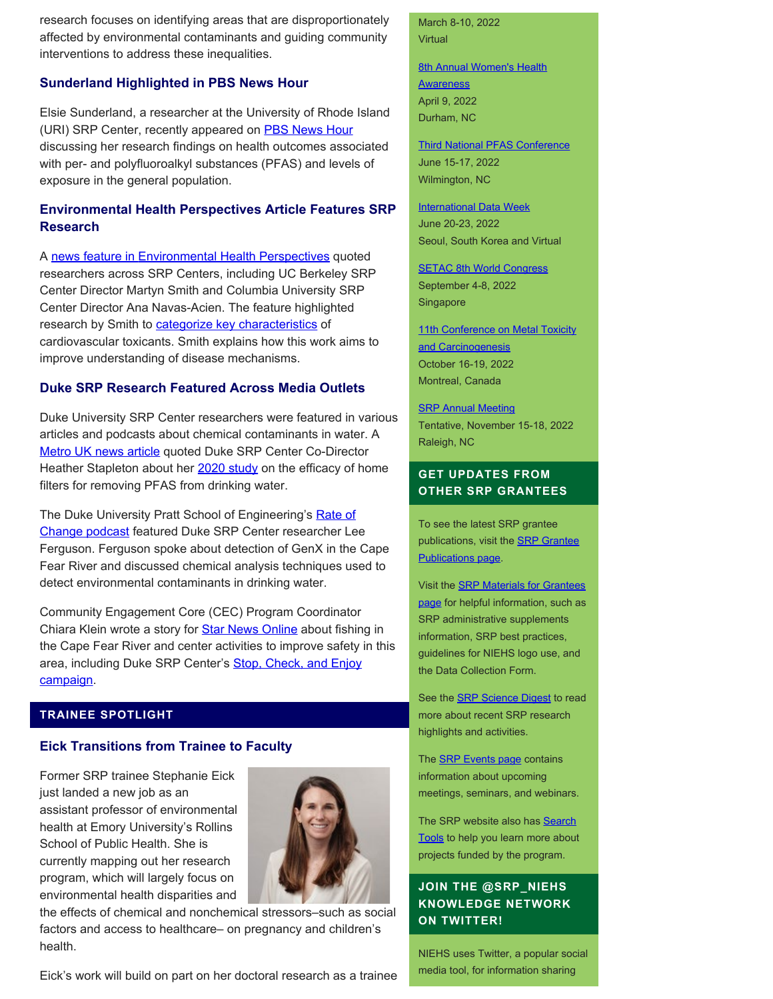research focuses on identifying areas that are disproportionately affected by environmental contaminants and guiding community interventions to address these inequalities.

## **Sunderland Highlighted in PBS News Hour**

Elsie Sunderland, a researcher at the University of Rhode Island (URI) SRP Center, recently appeared on [PBS News Hour](https://www.pbs.org/newshour/show/why-pfas-are-so-impervious-and-who-is-most-at-risk-from-the-forever-chemicals) discussing her research findings on health outcomes associated with per- and polyfluoroalkyl substances (PFAS) and levels of exposure in the general population.

# **Environmental Health Perspectives Article Features SRP Research**

A [news feature in Environmental Health Perspectives](https://ehp.niehs.nih.gov/doi/10.1289/EHP10375) quoted researchers across SRP Centers, including UC Berkeley SRP Center Director Martyn Smith and Columbia University SRP Center Director Ana Navas-Acien. The feature highlighted research by Smith to **categorize key characteristics** of cardiovascular toxicants. Smith explains how this work aims to improve understanding of disease mechanisms.

## **Duke SRP Research Featured Across Media Outlets**

Duke University SRP Center researchers were featured in various articles and podcasts about chemical contaminants in water. A [Metro UK news article](https://metro.co.uk/2021/11/20/is-filtered-water-actually-any-better-for-you-than-tap-water-15563069/) quoted Duke SRP Center Co-Director Heather Stapleton about her  $2020$  study on the efficacy of home filters for removing PFAS from drinking water.

The Duke University Pratt School of Engineering's [Rate of](https://pratt.duke.edu/about/news/podcast/chemical-detective) [Change podcast](https://pratt.duke.edu/about/news/podcast/chemical-detective) featured Duke SRP Center researcher Lee Ferguson. Ferguson spoke about detection of GenX in the Cape Fear River and discussed chemical analysis techniques used to detect environmental contaminants in drinking water.

Community Engagement Core (CEC) Program Coordinator Chiara Klein wrote a story for **Star News Online** about fishing in the Cape Fear River and center activities to improve safety in this area, including Duke SRP Center's **[Stop, Check, and Enjoy](https://sites.nicholas.duke.edu/superfundcec/fish/stop-check-enjoy-campaign-materials/)** [campaign.](https://sites.nicholas.duke.edu/superfundcec/fish/stop-check-enjoy-campaign-materials/)

## **TRAINEE SPOTLIGHT**

## **Eick Transitions from Trainee to Faculty**

Former SRP trainee Stephanie Eick just landed a new job as an assistant professor of environmental health at Emory University's Rollins School of Public Health. She is currently mapping out her research program, which will largely focus on environmental health disparities and



the effects of chemical and nonchemical stressors–such as social factors and access to healthcare– on pregnancy and children's health.

Eick's work will build on part on her doctoral research as a trainee

#### March 8-10, 2022 Virtual

**[8th Annual Women's Health](https://www.niehs.nih.gov/news/events/whad/index.cfm) [Awareness](https://www.niehs.nih.gov/news/events/whad/index.cfm)** April 9, 2022 Durham, NC

[Third National PFAS Conference](https://pfasmeeting.wordpress.ncsu.edu/) June 15-17, 2022 Wilmington, NC

**[International Data Week](https://internationaldataweek.org/)** June 20-23, 2022 Seoul, South Korea and Virtual

**[SETAC 8th World Congress](https://singapore.setac.org/)** September 4-8, 2022 Singapore

[11th Conference on Metal Toxicity](https://www.fourwav.es/view/1725/info/) [and Carcinogenesis](https://www.fourwav.es/view/1725/info/) October 16-19, 2022 Montreal, Canada

**[SRP Annual Meeting](https://www.niehs.nih.gov/research/supported/centers/srp/events/srp_annual_mtgs/index.cfm)** Tentative, November 15-18, 2022 Raleigh, NC

## **GET UPDATES FROM OTHER SRP GRANTEES**

To see the latest SRP grantee publications, visit the [SRP Grantee](https://tools.niehs.nih.gov/srp/publications/granteepublications.cfm) [Publications page.](https://tools.niehs.nih.gov/srp/publications/granteepublications.cfm)

Visit the [SRP Materials for Grantees](https://www.niehs.nih.gov/research/supported/centers/srp/resources/index.cfm) [page](https://www.niehs.nih.gov/research/supported/centers/srp/resources/index.cfm) for helpful information, such as SRP administrative supplements information, SRP best practices, guidelines for NIEHS logo use, and the Data Collection Form.

See the **SRP Science Digest** to read more about recent SRP research highlights and activities.

The **SRP Events page** contains information about upcoming meetings, seminars, and webinars.

The SRP website also has [Search](http://tools.niehs.nih.gov/srp/search/index.cfm) [Tools](http://tools.niehs.nih.gov/srp/search/index.cfm) to help you learn more about projects funded by the program.

# **JOIN THE @SRP\_NIEHS KNOWLEDGE NETWORK ON TWITTER!**

NIEHS uses Twitter, a popular social media tool, for information sharing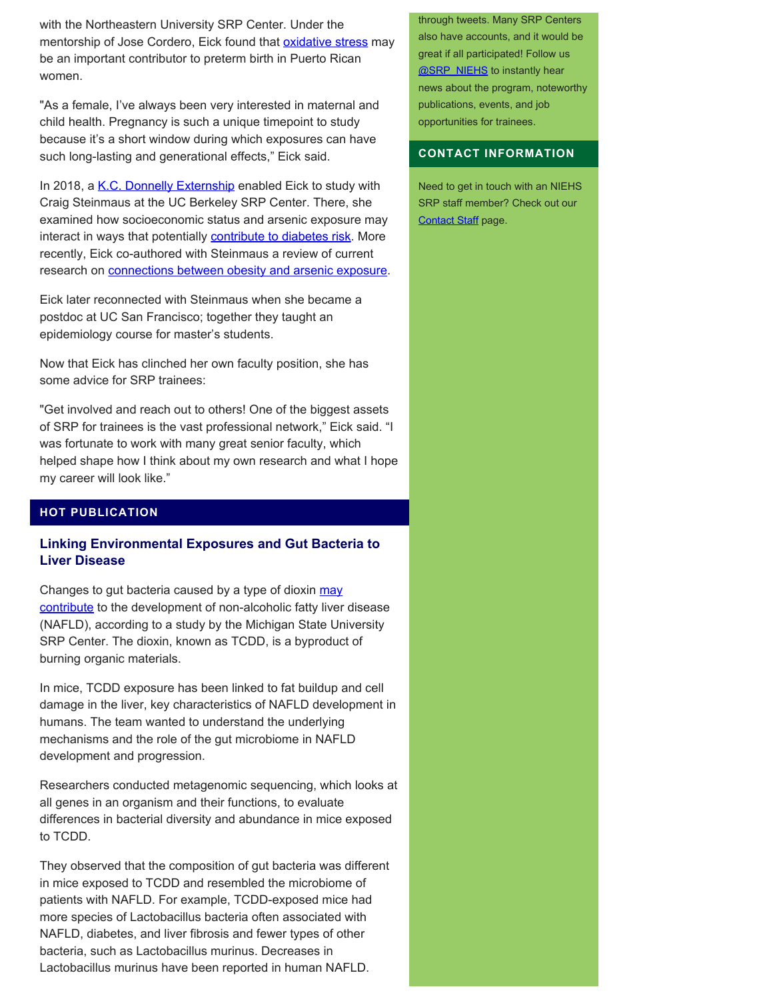with the Northeastern University SRP Center. Under the mentorship of Jose Cordero, Eick found that **oxidative stress** may be an important contributor to preterm birth in Puerto Rican women.

"As a female, I've always been very interested in maternal and child health. Pregnancy is such a unique timepoint to study because it's a short window during which exposures can have such long-lasting and generational effects," Eick said.

In 2018, a [K.C. Donnelly Externship](https://www.niehs.nih.gov/research/supported/centers/srp/training/donnelly/2018winners/index.cfm) enabled Eick to study with Craig Steinmaus at the UC Berkeley SRP Center. There, she examined how socioeconomic status and arsenic exposure may interact in ways that potentially **[contribute to diabetes risk](https://pubmed.ncbi.nlm.nih.gov/30875511/)**. More recently, Eick co-authored with Steinmaus a review of current research on **connections between obesity and arsenic exposure**.

Eick later reconnected with Steinmaus when she became a postdoc at UC San Francisco; together they taught an epidemiology course for master's students.

Now that Eick has clinched her own faculty position, she has some advice for SRP trainees:

"Get involved and reach out to others! One of the biggest assets of SRP for trainees is the vast professional network," Eick said. "I was fortunate to work with many great senior faculty, which helped shape how I think about my own research and what I hope my career will look like."

## **HOT PUBLICATION**

## **Linking Environmental Exposures and Gut Bacteria to Liver Disease**

Changes to gut bacteria caused by a type of dioxin [may](https://pubmed.ncbi.nlm.nih.gov/34830313/) [contribute](https://pubmed.ncbi.nlm.nih.gov/34830313/) to the development of non-alcoholic fatty liver disease (NAFLD), according to a study by the Michigan State University SRP Center. The dioxin, known as TCDD, is a byproduct of burning organic materials.

In mice, TCDD exposure has been linked to fat buildup and cell damage in the liver, key characteristics of NAFLD development in humans. The team wanted to understand the underlying mechanisms and the role of the gut microbiome in NAFLD development and progression.

Researchers conducted metagenomic sequencing, which looks at all genes in an organism and their functions, to evaluate differences in bacterial diversity and abundance in mice exposed to TCDD.

They observed that the composition of gut bacteria was different in mice exposed to TCDD and resembled the microbiome of patients with NAFLD. For example, TCDD-exposed mice had more species of Lactobacillus bacteria often associated with NAFLD, diabetes, and liver fibrosis and fewer types of other bacteria, such as Lactobacillus murinus. Decreases in Lactobacillus murinus have been reported in human NAFLD.

through tweets. Many SRP Centers also have accounts, and it would be great if all participated! Follow us [@SRP\\_NIEHS](https://twitter.com/SRP_NIEHS) to instantly hear news about the program, noteworthy publications, events, and job opportunities for trainees.

#### **CONTACT INFORMATION**

Need to get in touch with an NIEHS SRP staff member? Check out our [Contact Staff](https://www.niehs.nih.gov/research/supported/centers/srp/about/contact_us/index.cfm) page.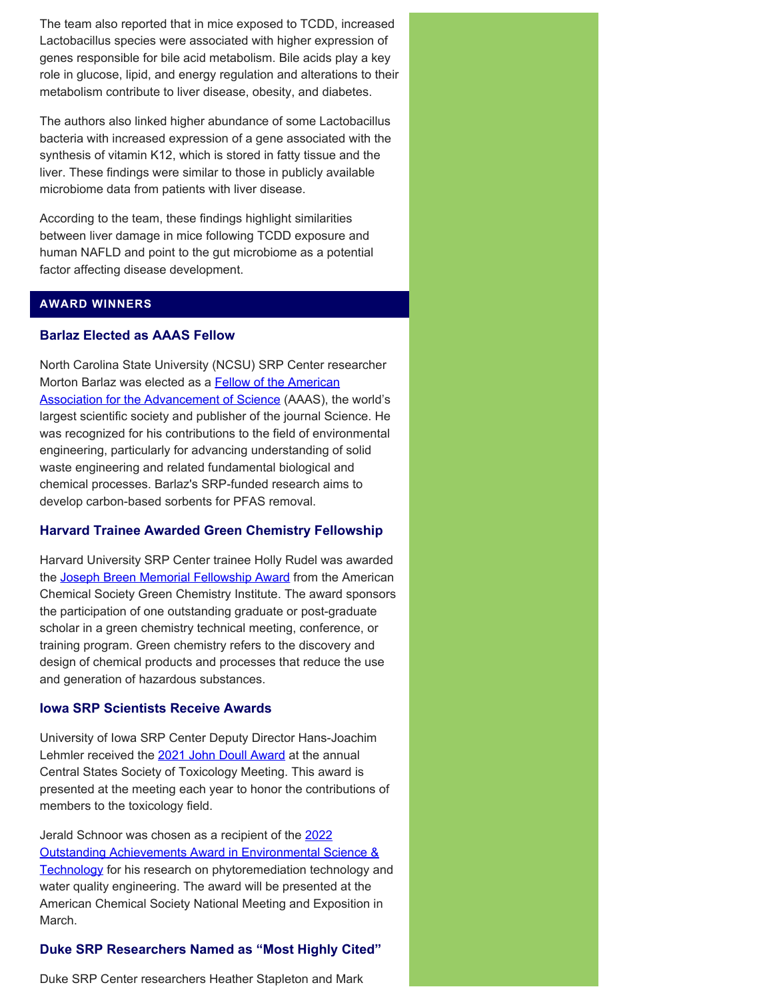The team also reported that in mice exposed to TCDD, increased Lactobacillus species were associated with higher expression of genes responsible for bile acid metabolism. Bile acids play a key role in glucose, lipid, and energy regulation and alterations to their metabolism contribute to liver disease, obesity, and diabetes.

The authors also linked higher abundance of some Lactobacillus bacteria with increased expression of a gene associated with the synthesis of vitamin K12, which is stored in fatty tissue and the liver. These findings were similar to those in publicly available microbiome data from patients with liver disease.

According to the team, these findings highlight similarities between liver damage in mice following TCDD exposure and human NAFLD and point to the gut microbiome as a potential factor affecting disease development.

#### **AWARD WINNERS**

## **Barlaz Elected as AAAS Fellow**

North Carolina State University (NCSU) SRP Center researcher Morton Barlaz was elected as a **Fellow of the American** [Association for the Advancement of Science](https://www.aaas.org/fellows) (AAAS), the world's largest scientific society and publisher of the journal Science. He was recognized for his contributions to the field of environmental engineering, particularly for advancing understanding of solid waste engineering and related fundamental biological and chemical processes. Barlaz's SRP-funded research aims to develop carbon-based sorbents for PFAS removal.

## **Harvard Trainee Awarded Green Chemistry Fellowship**

Harvard University SRP Center trainee Holly Rudel was awarded the [Joseph Breen Memorial Fellowship Award](https://www.acs.org/content/acs/en/funding/scholarships-fellowships/joseph-breen-memorial-fellowship.html) from the American Chemical Society Green Chemistry Institute. The award sponsors the participation of one outstanding graduate or post-graduate scholar in a green chemistry technical meeting, conference, or training program. Green chemistry refers to the discovery and design of chemical products and processes that reduce the use and generation of hazardous substances.

## **Iowa SRP Scientists Receive Awards**

University of Iowa SRP Center Deputy Director Hans-Joachim Lehmler received the [2021 John Doull Award](https://ehsrc.public-health.uiowa.edu/lehmler-receives-2021-john-doull-award/) at the annual Central States Society of Toxicology Meeting. This award is presented at the meeting each year to honor the contributions of members to the toxicology field.

Jerald Schnoor was chosen as a recipient of the [2022](https://pubs.acs.org/doi/10.1021/acs.est.1c08578) [Outstanding Achievements Award in Environmental Science &](https://pubs.acs.org/doi/10.1021/acs.est.1c08578) [Technology](https://pubs.acs.org/doi/10.1021/acs.est.1c08578) for his research on phytoremediation technology and water quality engineering. The award will be presented at the American Chemical Society National Meeting and Exposition in March.

## **Duke SRP Researchers Named as "Most Highly Cited"**

Duke SRP Center researchers Heather Stapleton and Mark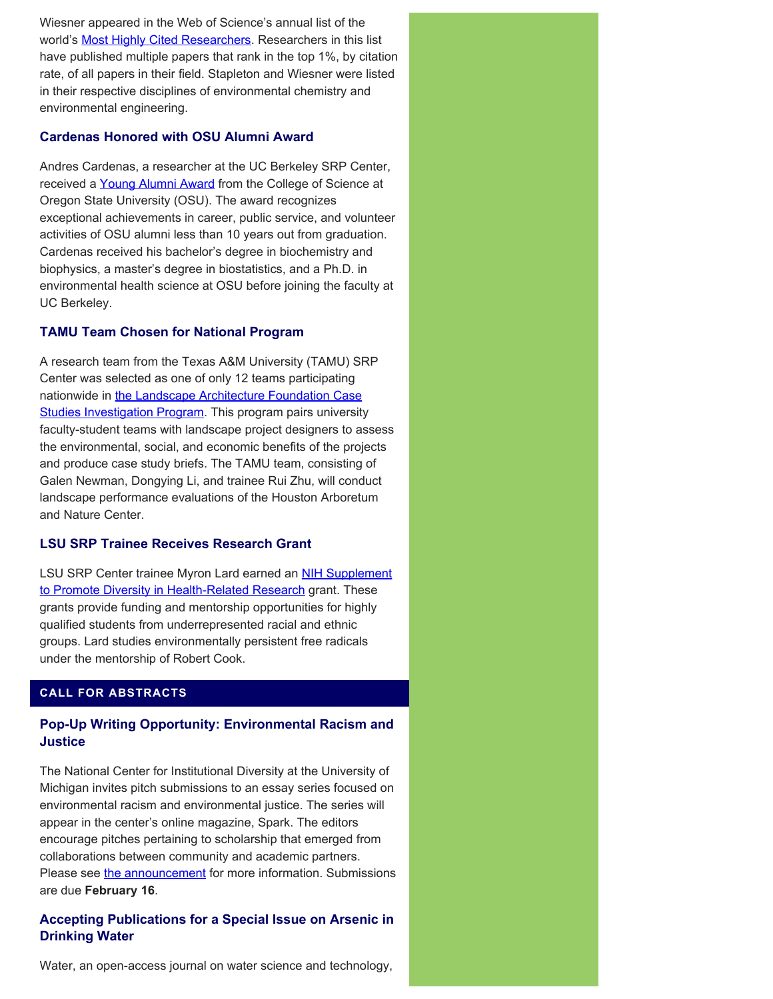Wiesner appeared in the Web of Science's annual list of the world's **Most Highly Cited Researchers**. Researchers in this list have published multiple papers that rank in the top 1%, by citation rate, of all papers in their field. Stapleton and Wiesner were listed in their respective disciplines of environmental chemistry and environmental engineering.

## **Cardenas Honored with OSU Alumni Award**

Andres Cardenas, a researcher at the UC Berkeley SRP Center, received a [Young Alumni Award](https://science.oregonstate.edu/impact/2021/10/rising-environmental-health-scientist-receives-young-alumni-award?fbclid=IwAR3KSlIxCmoVPrC29Ie8yRFUws6oEs0QAMYvebISVxF01oq9Zlky0xUNVF0) from the College of Science at Oregon State University (OSU). The award recognizes exceptional achievements in career, public service, and volunteer activities of OSU alumni less than 10 years out from graduation. Cardenas received his bachelor's degree in biochemistry and biophysics, a master's degree in biostatistics, and a Ph.D. in environmental health science at OSU before joining the faculty at UC Berkeley.

## **TAMU Team Chosen for National Program**

A research team from the Texas A&M University (TAMU) SRP Center was selected as one of only 12 teams participating nationwide in [the Landscape Architecture Foundation Case](https://mailchi.mp/lafoundation/2022-csi-teams?e=37f51a8f5f) **[Studies Investigation Program.](https://mailchi.mp/lafoundation/2022-csi-teams?e=37f51a8f5f)** This program pairs university faculty-student teams with landscape project designers to assess the environmental, social, and economic benefits of the projects and produce case study briefs. The TAMU team, consisting of Galen Newman, Dongying Li, and trainee Rui Zhu, will conduct landscape performance evaluations of the Houston Arboretum and Nature Center.

# **LSU SRP Trainee Receives Research Grant**

LSU SRP Center trainee Myron Lard earned an **NIH Supplement** [to Promote Diversity in Health-Related Research](https://www.lsu.edu/srp/news/2021/diversity_supplement.php) grant. These grants provide funding and mentorship opportunities for highly qualified students from underrepresented racial and ethnic groups. Lard studies environmentally persistent free radicals under the mentorship of Robert Cook.

# **CALL FOR ABSTRACTS**

# **Pop-Up Writing Opportunity: Environmental Racism and Justice**

The National Center for Institutional Diversity at the University of Michigan invites pitch submissions to an essay series focused on environmental racism and environmental justice. The series will appear in the center's online magazine, Spark. The editors encourage pitches pertaining to scholarship that emerged from collaborations between community and academic partners. Please see [the announcement](https://lsa.umich.edu/ncid/news-events/all-news/spark/calls-for-submissions/pop-up-writing-environmental-racism-justice.html) for more information. Submissions are due **February 16**.

# **Accepting Publications for a Special Issue on Arsenic in Drinking Water**

Water, an open-access journal on water science and technology,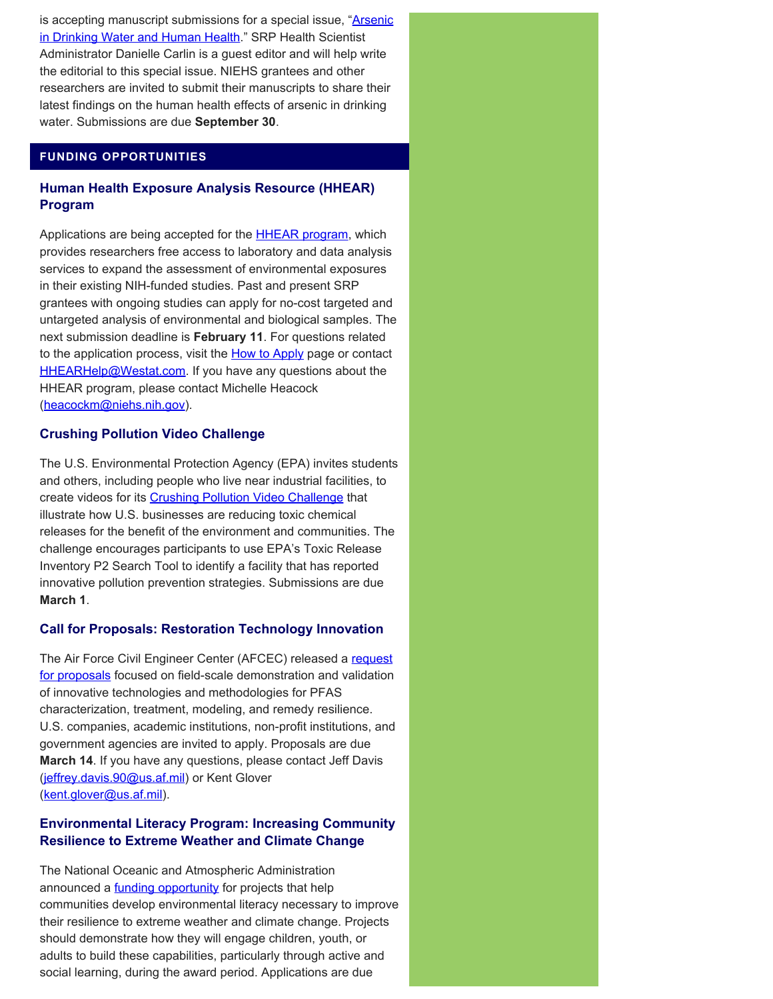is accepting manuscript submissions for a special issue, ["Arsenic](https://www.mdpi.com/journal/water/special_issues/arsenic_water_health) [in Drinking Water and Human Health](https://www.mdpi.com/journal/water/special_issues/arsenic_water_health)." SRP Health Scientist Administrator Danielle Carlin is a guest editor and will help write the editorial to this special issue. NIEHS grantees and other researchers are invited to submit their manuscripts to share their latest findings on the human health effects of arsenic in drinking water. Submissions are due **September 30**.

## **FUNDING OPPORTUNITIES**

## **Human Health Exposure Analysis Resource (HHEAR) Program**

Applications are being accepted for the **HHEAR program**, which provides researchers free access to laboratory and data analysis services to expand the assessment of environmental exposures in their existing NIH-funded studies. Past and present SRP grantees with ongoing studies can apply for no-cost targeted and untargeted analysis of environmental and biological samples. The next submission deadline is **February 11**. For questions related to the application process, visit the **How to Apply** page or contact [HHEARHelp@Westat.com.](mailto:HHEARHelp@Westat.com) If you have any questions about the HHEAR program, please contact Michelle Heacock ([heacockm@niehs.nih.gov\)](mailto:heacockm@niehs.nih.gov).

## **Crushing Pollution Video Challenge**

The U.S. Environmental Protection Agency (EPA) invites students and others, including people who live near industrial facilities, to create videos for its [Crushing Pollution Video Challenge](https://www.epa.gov/toxics-release-inventory-tri-program/companies-crushing-pollution-video-challenge) that illustrate how U.S. businesses are reducing toxic chemical releases for the benefit of the environment and communities. The challenge encourages participants to use EPA's Toxic Release Inventory P2 Search Tool to identify a facility that has reported innovative pollution prevention strategies. Submissions are due **March 1**.

#### **Call for Proposals: Restoration Technology Innovation**

The Air Force Civil Engineer Center (AFCEC) released a [request](https://sam.gov/opp/c5d3bf7f32234ebabad2c0407e395a72/view) [for proposals](https://sam.gov/opp/c5d3bf7f32234ebabad2c0407e395a72/view) focused on field-scale demonstration and validation of innovative technologies and methodologies for PFAS characterization, treatment, modeling, and remedy resilience. U.S. companies, academic institutions, non-profit institutions, and government agencies are invited to apply. Proposals are due **March 14**. If you have any questions, please contact Jeff Davis ([jeffrey.davis.90@us.af.mil\)](mailto:jeffrey.davis.90@us.af.mil) or Kent Glover ([kent.glover@us.af.mil\)](mailto:kent.glover@us.af.mil).

## **Environmental Literacy Program: Increasing Community Resilience to Extreme Weather and Climate Change**

The National Oceanic and Atmospheric Administration announced a **funding opportunity** for projects that help communities develop environmental literacy necessary to improve their resilience to extreme weather and climate change. Projects should demonstrate how they will engage children, youth, or adults to build these capabilities, particularly through active and social learning, during the award period. Applications are due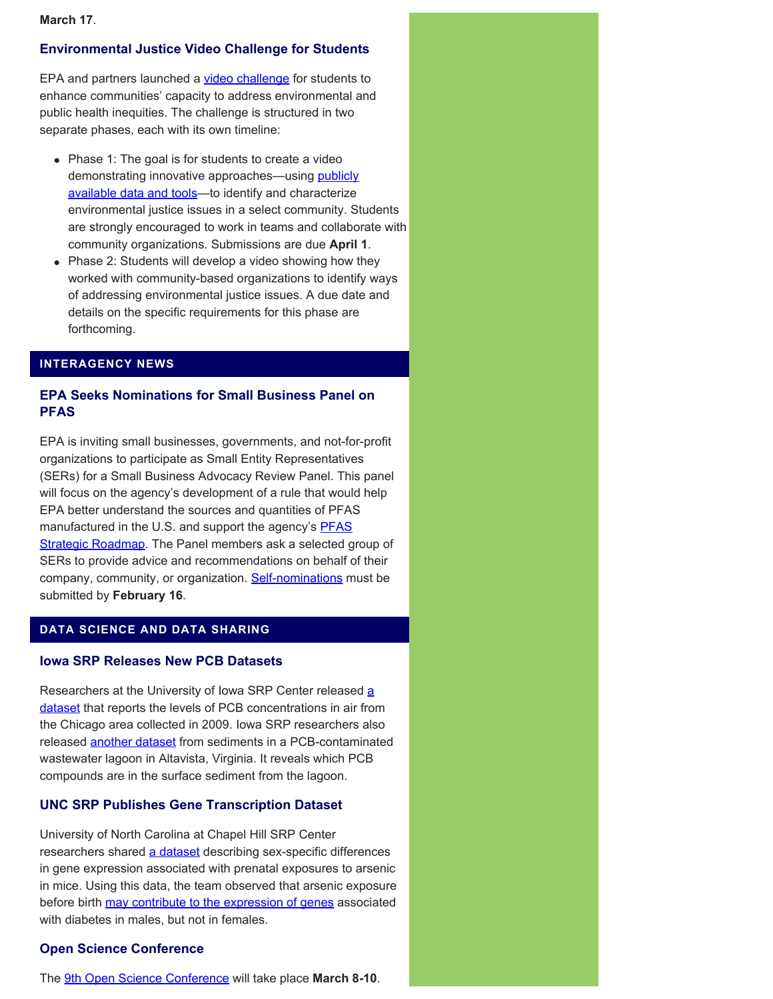#### **March 17**.

## **Environmental Justice Video Challenge for Students**

EPA and partners launched a [video challenge](https://www.epa.gov/innovation/environmental-justice-video-challenge-students) for students to enhance communities' capacity to address environmental and public health inequities. The challenge is structured in two separate phases, each with its own timeline:

- Phase 1: The goal is for students to create a video demonstrating innovative approaches—using **publicly** [available data and tools](https://www.epa.gov/innovation/ej-video-challenge-students-tools-and-data-resources)—to identify and characterize environmental justice issues in a select community. Students are strongly encouraged to work in teams and collaborate with community organizations. Submissions are due **April 1**.
- Phase 2: Students will develop a video showing how they worked with community-based organizations to identify ways of addressing environmental justice issues. A due date and details on the specific requirements for this phase are forthcoming.

## **INTERAGENCY NEWS**

## **EPA Seeks Nominations for Small Business Panel on PFAS**

EPA is inviting small businesses, governments, and not-for-profit organizations to participate as Small Entity Representatives (SERs) for a Small Business Advocacy Review Panel. This panel will focus on the agency's development of a rule that would help EPA better understand the sources and quantities of PFAS manufactured in the U.S. and support the agency's **[PFAS](https://www.epa.gov/pfas/pfas-strategic-roadmap-epas-commitments-action-2021-2024)** [Strategic Roadmap.](https://www.epa.gov/pfas/pfas-strategic-roadmap-epas-commitments-action-2021-2024) The Panel members ask a selected group of SERs to provide advice and recommendations on behalf of their company, community, or organization. [Self-nominations](https://www.epa.gov/reg-flex/potential-sbar-panel-tsca-section-8a7-rule-reporting-and-recordkeeping-requirements) must be submitted by **February 16**.

#### **DATA SCIENCE AND DATA SHARING**

## **Iowa SRP Releases New PCB Datasets**

Researchers [a](https://doi.pangaea.de/10.1594/PANGAEA.935238)t the University of Iowa SRP Center released a [dataset](https://doi.pangaea.de/10.1594/PANGAEA.935238) that reports the levels of PCB concentrations in air from the Chicago area collected in 2009. Iowa SRP researchers also released **another dataset** from sediments in a PCB-contaminated wastewater lagoon in Altavista, Virginia. It reveals which PCB compounds are in the surface sediment from the lagoon.

#### **UNC SRP Publishes Gene Transcription Dataset**

University of North Carolina at Chapel Hill SRP Center researchers shared [a dataset](https://dataverse.unc.edu/dataset.xhtml?persistentId=doi:10.15139/S3/XUO3X9) describing sex-specific differences in gene expression associated with prenatal exposures to arsenic in mice. Using this data, the team observed that arsenic exposure before birth [may contribute to the expression of genes](https://pubmed.ncbi.nlm.nih.gov/33145626/) associated with diabetes in males, but not in females.

#### **Open Science Conference**

The [9th Open Science Conference](https://www.open-science-conference.eu/) will take place **March 8-10**.